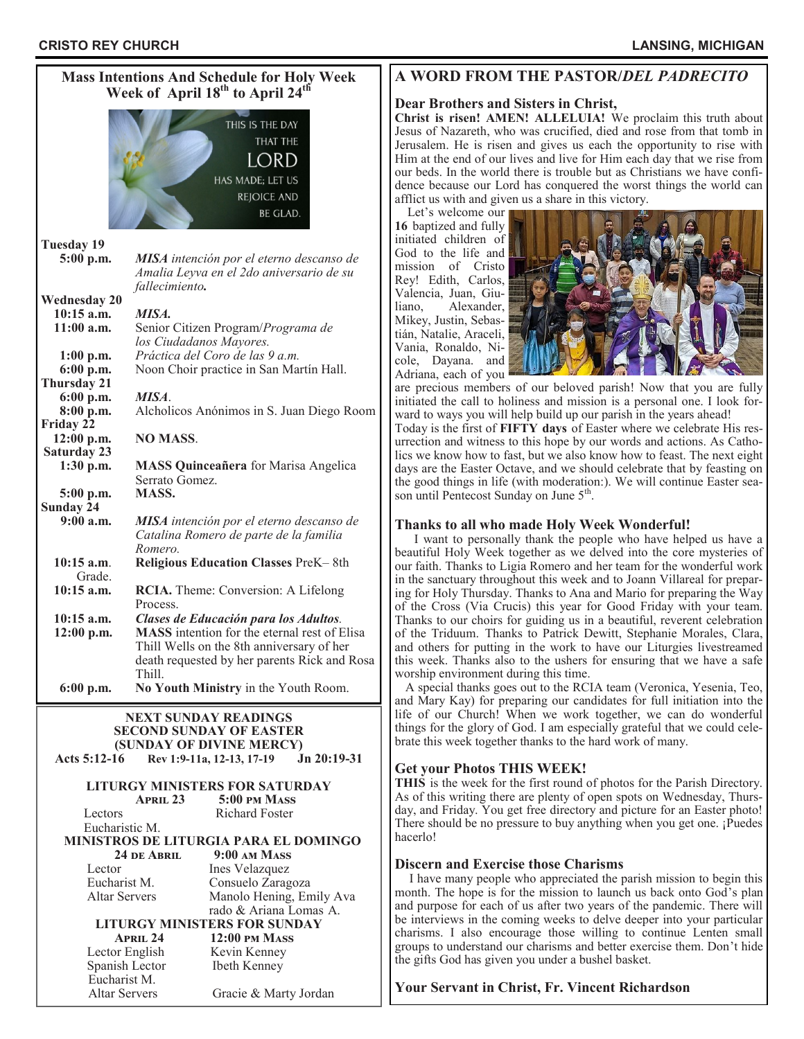| <b>Mass Intentions And Schedule for Holy Week</b><br>Week of April 18 <sup>th</sup> to April 24 <sup>th</sup> |                                                                                                        |
|---------------------------------------------------------------------------------------------------------------|--------------------------------------------------------------------------------------------------------|
| THIS IS THE DAY<br>THAT THE<br>LORD<br>HAS MADE: LET US<br><b>REJOICE AND</b><br>BE GLAD.                     |                                                                                                        |
|                                                                                                               |                                                                                                        |
| <b>Tuesday 19</b>                                                                                             |                                                                                                        |
| 5:00 p.m.                                                                                                     | MISA intención por el eterno descanso de<br>Amalia Leyva en el 2do aniversario de su<br>fallecimiento. |
| <b>Wednesday 20</b>                                                                                           |                                                                                                        |
|                                                                                                               |                                                                                                        |
| 10:15 a.m.                                                                                                    | MISA.                                                                                                  |
| $11:00$ a.m.                                                                                                  | Senior Citizen Program/Programa de<br>los Ciudadanos Mayores.                                          |
| $1:00$ p.m.                                                                                                   | Práctica del Coro de las 9 a.m.                                                                        |
| $6:00$ p.m.                                                                                                   | Noon Choir practice in San Martín Hall.                                                                |
| Thursday 21                                                                                                   |                                                                                                        |
| 6:00 p.m.                                                                                                     | MISA.                                                                                                  |
| 8:00 p.m.                                                                                                     | Alcholicos Anónimos in S. Juan Diego Room                                                              |
| Friday 22                                                                                                     |                                                                                                        |
| 12:00 p.m.                                                                                                    | <b>NO MASS.</b>                                                                                        |
| <b>Saturday 23</b>                                                                                            |                                                                                                        |
| $1:30$ p.m.                                                                                                   | <b>MASS Quinceañera</b> for Marisa Angelica                                                            |
|                                                                                                               | Serrato Gomez.                                                                                         |
| 5:00 p.m.                                                                                                     | <b>MASS.</b>                                                                                           |
| <b>Sunday 24</b>                                                                                              |                                                                                                        |
| 9:00a.m.                                                                                                      | MISA intención por el eterno descanso de                                                               |
|                                                                                                               |                                                                                                        |
|                                                                                                               | Catalina Romero de parte de la familia                                                                 |
|                                                                                                               | Romero.                                                                                                |
| $10:15$ a.m.                                                                                                  | Religious Education Classes PreK-8th                                                                   |
| Grade.                                                                                                        |                                                                                                        |
| $10:15$ a.m.                                                                                                  | <b>RCIA.</b> Theme: Conversion: A Lifelong                                                             |
|                                                                                                               | Process.                                                                                               |
| $10:15$ a.m.                                                                                                  | Clases de Educación para los Adultos.                                                                  |
| $12:00$ p.m.                                                                                                  | <b>MASS</b> intention for the eternal rest of Elisa                                                    |
|                                                                                                               | Thill Wells on the 8th anniversary of her                                                              |
|                                                                                                               | death requested by her parents Rick and Rosa                                                           |
|                                                                                                               | Thill.                                                                                                 |
| $6:00$ p.m.                                                                                                   | No Youth Ministry in the Youth Room.                                                                   |
|                                                                                                               |                                                                                                        |
|                                                                                                               | <b>NEXT SUNDAY READINGS</b>                                                                            |
| <b>SECOND SUNDAY OF EASTER</b>                                                                                |                                                                                                        |
|                                                                                                               | (SUNDAY OF DIVINE MERCY)                                                                               |
| Acts 5:12-16                                                                                                  | Rev 1:9-11a, 12-13, 17-19<br>$Jn 20:19-31$                                                             |
|                                                                                                               |                                                                                                        |
|                                                                                                               | LITURGY MINISTERS FOR SATURDAY                                                                         |
|                                                                                                               | <b>APRIL 23</b><br>5:00 PM MASS                                                                        |
| Lectors                                                                                                       | <b>Richard Foster</b>                                                                                  |
| Eucharistic M.                                                                                                |                                                                                                        |
|                                                                                                               |                                                                                                        |
| <b>MINISTROS DE LITURGIA PARA EL DOMINGO</b>                                                                  |                                                                                                        |
| 9:00 AM MASS<br>24 DE ABRIL                                                                                   |                                                                                                        |
| Lector<br>Ines Velazquez                                                                                      |                                                                                                        |
| Eucharist M.<br>Consuelo Zaragoza                                                                             |                                                                                                        |
| <b>Altar Servers</b><br>Manolo Hening, Emily Ava                                                              |                                                                                                        |
|                                                                                                               | rado & Ariana Lomas A.                                                                                 |
| <b>LITURGY MINISTERS FOR SUNDAY</b>                                                                           |                                                                                                        |
| $APRIL$ 24<br><b>12:00 PM MASS</b>                                                                            |                                                                                                        |
| Lector English<br>Kevin Kenney                                                                                |                                                                                                        |
| Spanish Lector<br>Ibeth Kenney                                                                                |                                                                                                        |
| Eucharist M.                                                                                                  |                                                                                                        |

Altar Servers Gracie & Marty Jordan

# **A WORD FROM THE PASTOR/***DEL PADRECITO*

#### **Dear Brothers and Sisters in Christ,**

**Christ is risen! AMEN! ALLELUIA!** We proclaim this truth about Jesus of Nazareth, who was crucified, died and rose from that tomb in Jerusalem. He is risen and gives us each the opportunity to rise with Him at the end of our lives and live for Him each day that we rise from our beds. In the world there is trouble but as Christians we have confidence because our Lord has conquered the worst things the world can afflict us with and given us a share in this victory.

 Let's welcome our **16** baptized and fully initiated children of God to the life and mission of Cristo Rey! Edith, Carlos, Valencia, Juan, Giuliano, Alexander, Mikey, Justin, Sebastián, Natalie, Araceli, Vania, Ronaldo, Nicole, Dayana. and Adriana, each of you



are precious members of our beloved parish! Now that you are fully initiated the call to holiness and mission is a personal one. I look forward to ways you will help build up our parish in the years ahead!

Today is the first of **FIFTY days** of Easter where we celebrate His resurrection and witness to this hope by our words and actions. As Catholics we know how to fast, but we also know how to feast. The next eight days are the Easter Octave, and we should celebrate that by feasting on the good things in life (with moderation:). We will continue Easter season until Pentecost Sunday on June 5<sup>th</sup>.

# **Thanks to all who made Holy Week Wonderful!**

 I want to personally thank the people who have helped us have a beautiful Holy Week together as we delved into the core mysteries of our faith. Thanks to Ligia Romero and her team for the wonderful work in the sanctuary throughout this week and to Joann Villareal for preparing for Holy Thursday. Thanks to Ana and Mario for preparing the Way of the Cross (Via Crucis) this year for Good Friday with your team. Thanks to our choirs for guiding us in a beautiful, reverent celebration of the Triduum. Thanks to Patrick Dewitt, Stephanie Morales, Clara, and others for putting in the work to have our Liturgies livestreamed this week. Thanks also to the ushers for ensuring that we have a safe worship environment during this time.

 A special thanks goes out to the RCIA team (Veronica, Yesenia, Teo, and Mary Kay) for preparing our candidates for full initiation into the life of our Church! When we work together, we can do wonderful things for the glory of God. I am especially grateful that we could celebrate this week together thanks to the hard work of many.

# **Get your Photos THIS WEEK!**

**THIS** is the week for the first round of photos for the Parish Directory. As of this writing there are plenty of open spots on Wednesday, Thursday, and Friday. You get free directory and picture for an Easter photo! There should be no pressure to buy anything when you get one. ¡Puedes hacerlo!

# **Discern and Exercise those Charisms**

 I have many people who appreciated the parish mission to begin this month. The hope is for the mission to launch us back onto God's plan and purpose for each of us after two years of the pandemic. There will be interviews in the coming weeks to delve deeper into your particular charisms. I also encourage those willing to continue Lenten small groups to understand our charisms and better exercise them. Don't hide the gifts God has given you under a bushel basket.

# **Your Servant in Christ, Fr. Vincent Richardson**